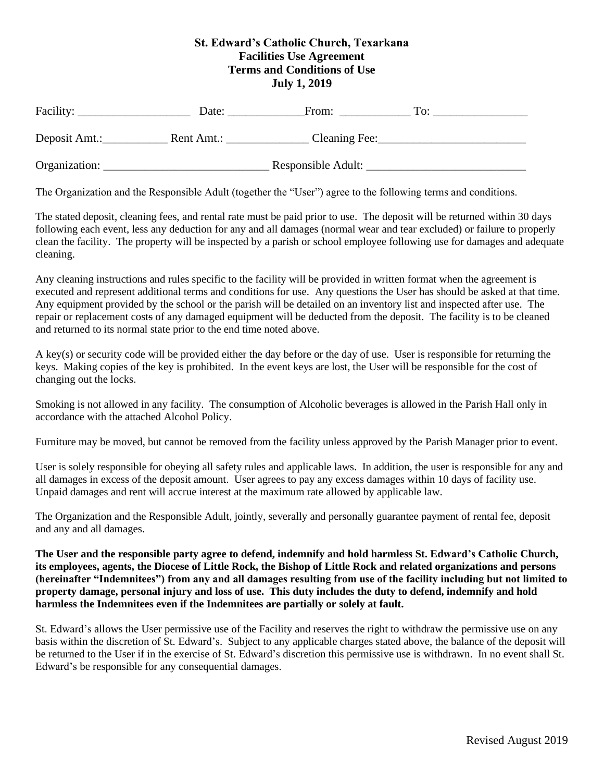## **St. Edward's Catholic Church, Texarkana Facilities Use Agreement Terms and Conditions of Use July 1, 2019**

| Facility:     | Date:              | From:         | To: |
|---------------|--------------------|---------------|-----|
| Deposit Amt.: | Rent Amt.:         | Cleaning Fee: |     |
| Organization: | Responsible Adult: |               |     |

The Organization and the Responsible Adult (together the "User") agree to the following terms and conditions.

The stated deposit, cleaning fees, and rental rate must be paid prior to use. The deposit will be returned within 30 days following each event, less any deduction for any and all damages (normal wear and tear excluded) or failure to properly clean the facility. The property will be inspected by a parish or school employee following use for damages and adequate cleaning.

Any cleaning instructions and rules specific to the facility will be provided in written format when the agreement is executed and represent additional terms and conditions for use. Any questions the User has should be asked at that time. Any equipment provided by the school or the parish will be detailed on an inventory list and inspected after use. The repair or replacement costs of any damaged equipment will be deducted from the deposit. The facility is to be cleaned and returned to its normal state prior to the end time noted above.

A key(s) or security code will be provided either the day before or the day of use. User is responsible for returning the keys. Making copies of the key is prohibited. In the event keys are lost, the User will be responsible for the cost of changing out the locks.

Smoking is not allowed in any facility. The consumption of Alcoholic beverages is allowed in the Parish Hall only in accordance with the attached Alcohol Policy.

Furniture may be moved, but cannot be removed from the facility unless approved by the Parish Manager prior to event.

User is solely responsible for obeying all safety rules and applicable laws. In addition, the user is responsible for any and all damages in excess of the deposit amount. User agrees to pay any excess damages within 10 days of facility use. Unpaid damages and rent will accrue interest at the maximum rate allowed by applicable law.

The Organization and the Responsible Adult, jointly, severally and personally guarantee payment of rental fee, deposit and any and all damages.

**The User and the responsible party agree to defend, indemnify and hold harmless St. Edward's Catholic Church, its employees, agents, the Diocese of Little Rock, the Bishop of Little Rock and related organizations and persons (hereinafter "Indemnitees") from any and all damages resulting from use of the facility including but not limited to property damage, personal injury and loss of use. This duty includes the duty to defend, indemnify and hold harmless the Indemnitees even if the Indemnitees are partially or solely at fault.** 

St. Edward's allows the User permissive use of the Facility and reserves the right to withdraw the permissive use on any basis within the discretion of St. Edward's. Subject to any applicable charges stated above, the balance of the deposit will be returned to the User if in the exercise of St. Edward's discretion this permissive use is withdrawn. In no event shall St. Edward's be responsible for any consequential damages.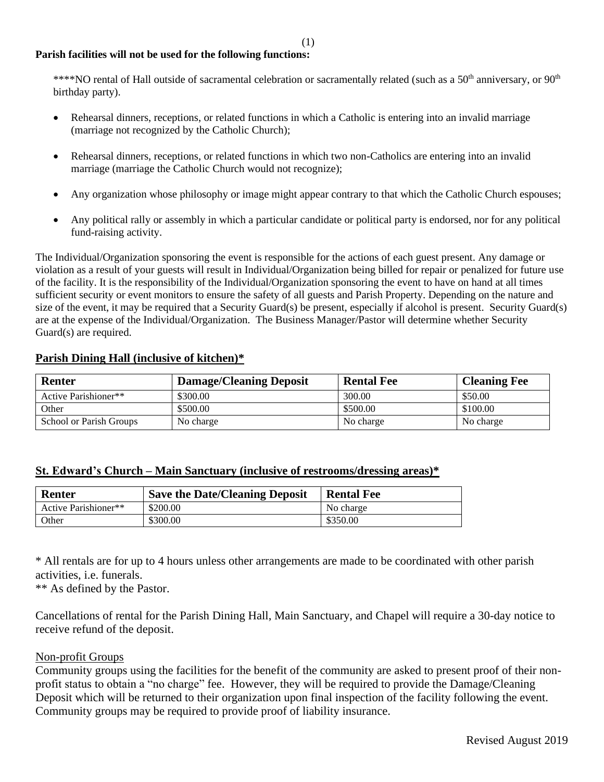### **Parish facilities will not be used for the following functions:**

\*\*\*\*NO rental of Hall outside of sacramental celebration or sacramentally related (such as a  $50<sup>th</sup>$  anniversary, or  $90<sup>th</sup>$ birthday party).

- Rehearsal dinners, receptions, or related functions in which a Catholic is entering into an invalid marriage (marriage not recognized by the Catholic Church);
- Rehearsal dinners, receptions, or related functions in which two non-Catholics are entering into an invalid marriage (marriage the Catholic Church would not recognize);
- Any organization whose philosophy or image might appear contrary to that which the Catholic Church espouses;
- Any political rally or assembly in which a particular candidate or political party is endorsed, nor for any political fund-raising activity.

The Individual/Organization sponsoring the event is responsible for the actions of each guest present. Any damage or violation as a result of your guests will result in Individual/Organization being billed for repair or penalized for future use of the facility. It is the responsibility of the Individual/Organization sponsoring the event to have on hand at all times sufficient security or event monitors to ensure the safety of all guests and Parish Property. Depending on the nature and size of the event, it may be required that a Security Guard(s) be present, especially if alcohol is present. Security Guard(s) are at the expense of the Individual/Organization. The Business Manager/Pastor will determine whether Security Guard(s) are required.

### **Parish Dining Hall (inclusive of kitchen)\***

| <b>Renter</b>           | <b>Damage/Cleaning Deposit</b> | <b>Rental Fee</b> | <b>Cleaning Fee</b> |
|-------------------------|--------------------------------|-------------------|---------------------|
| Active Parishioner**    | \$300.00                       | 300.00            | \$50.00             |
| Other                   | \$500.00                       | \$500.00          | \$100.00            |
| School or Parish Groups | No charge                      | No charge         | No charge           |

#### **St. Edward's Church – Main Sanctuary (inclusive of restrooms/dressing areas)\***

| <b>Renter</b>        | <b>Save the Date/Cleaning Deposit</b> | <b>Rental Fee</b> |
|----------------------|---------------------------------------|-------------------|
| Active Parishioner** | \$200.00                              | No charge         |
| Other                | \$300.00                              | \$350.00          |

\* All rentals are for up to 4 hours unless other arrangements are made to be coordinated with other parish activities, i.e. funerals.

\*\* As defined by the Pastor.

Cancellations of rental for the Parish Dining Hall, Main Sanctuary, and Chapel will require a 30-day notice to receive refund of the deposit.

#### Non-profit Groups

Community groups using the facilities for the benefit of the community are asked to present proof of their nonprofit status to obtain a "no charge" fee. However, they will be required to provide the Damage/Cleaning Deposit which will be returned to their organization upon final inspection of the facility following the event. Community groups may be required to provide proof of liability insurance.